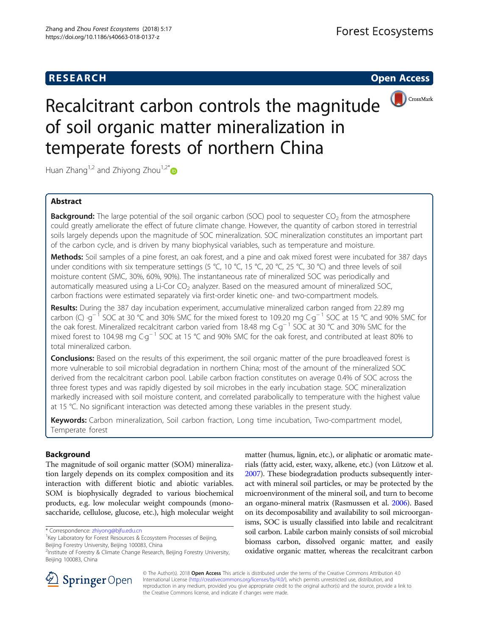# **RESEARCH CHE Open Access**



# Recalcitrant carbon controls the magnitude of soil organic matter mineralization in temperate forests of northern China

Huan Zhang<sup>1,2</sup> and Zhiyong Zhou<sup>1,2\*</sup>

# Abstract

**Background:** The large potential of the soil organic carbon (SOC) pool to sequester  $CO<sub>2</sub>$  from the atmosphere could greatly ameliorate the effect of future climate change. However, the quantity of carbon stored in terrestrial soils largely depends upon the magnitude of SOC mineralization. SOC mineralization constitutes an important part of the carbon cycle, and is driven by many biophysical variables, such as temperature and moisture.

Methods: Soil samples of a pine forest, an oak forest, and a pine and oak mixed forest were incubated for 387 days under conditions with six temperature settings (5 °C, 10 °C, 15 °C, 20 °C, 25 °C, 30 °C) and three levels of soil moisture content (SMC, 30%, 60%, 90%). The instantaneous rate of mineralized SOC was periodically and automatically measured using a Li-Cor CO<sub>2</sub> analyzer. Based on the measured amount of mineralized SOC, carbon fractions were estimated separately via first-order kinetic one- and two-compartment models.

Results: During the 387 day incubation experiment, accumulative mineralized carbon ranged from 22.89 mg carbon (C) ·g<sup>− 1</sup> SOC at 30 °C and 30% SMC for the mixed forest to 109.20 mg C·g<sup>−1</sup> SOC at 15 °C and 90% SMC for the oak forest. Mineralized recalcitrant carbon varied from 18.48 mg C·g<sup>−1</sup> SOC at 30 °C and 30% SMC for the mixed forest to 104.98 mg C·g<sup>-1</sup> SOC at 15 °C and 90% SMC for the oak forest, and contributed at least 80% to total mineralized carbon.

**Conclusions:** Based on the results of this experiment, the soil organic matter of the pure broadleaved forest is more vulnerable to soil microbial degradation in northern China; most of the amount of the mineralized SOC derived from the recalcitrant carbon pool. Labile carbon fraction constitutes on average 0.4% of SOC across the three forest types and was rapidly digested by soil microbes in the early incubation stage. SOC mineralization markedly increased with soil moisture content, and correlated parabolically to temperature with the highest value at 15 °C. No significant interaction was detected among these variables in the present study.

Keywords: Carbon mineralization, Soil carbon fraction, Long time incubation, Two-compartment model, Temperate forest

# Background

The magnitude of soil organic matter (SOM) mineralization largely depends on its complex composition and its interaction with different biotic and abiotic variables. SOM is biophysically degraded to various biochemical products, e.g. low molecular weight compounds (monosaccharide, cellulose, glucose, etc.), high molecular weight

\* Correspondence: [zhiyong@bjfu.edu.cn](mailto:zhiyong@bjfu.edu.cn) <sup>1</sup>

<sup>1</sup>Key Laboratory for Forest Resources & Ecosystem Processes of Beijing, Beijing Forestry University, Beijing 100083, China

matter (humus, lignin, etc.), or aliphatic or aromatic materials (fatty acid, ester, waxy, alkene, etc.) (von Lützow et al. [2007\)](#page-9-0). These biodegradation products subsequently interact with mineral soil particles, or may be protected by the microenvironment of the mineral soil, and turn to become an organo-mineral matrix (Rasmussen et al. [2006](#page-9-0)). Based on its decomposability and availability to soil microorganisms, SOC is usually classified into labile and recalcitrant soil carbon. Labile carbon mainly consists of soil microbial biomass carbon, dissolved organic matter, and easily oxidative organic matter, whereas the recalcitrant carbon



© The Author(s). 2018 Open Access This article is distributed under the terms of the Creative Commons Attribution 4.0 International License ([http://creativecommons.org/licenses/by/4.0/\)](http://creativecommons.org/licenses/by/4.0/), which permits unrestricted use, distribution, and reproduction in any medium, provided you give appropriate credit to the original author(s) and the source, provide a link to the Creative Commons license, and indicate if changes were made.

<sup>&</sup>lt;sup>2</sup>Institute of Forestry & Climate Change Research, Beijing Forestry University, Beijing 100083, China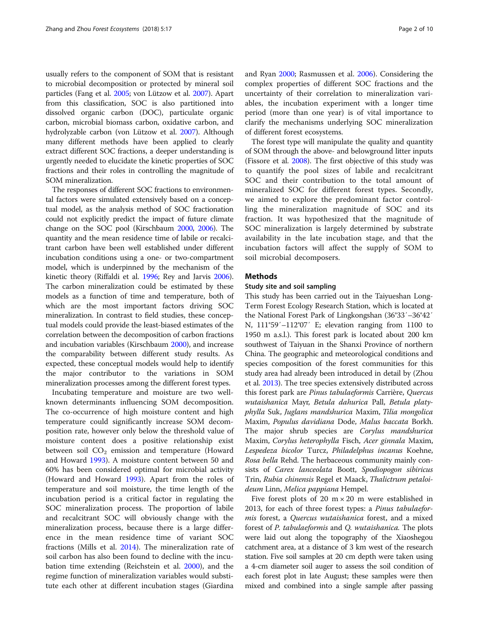usually refers to the component of SOM that is resistant to microbial decomposition or protected by mineral soil particles (Fang et al. [2005;](#page-8-0) von Lützow et al. [2007](#page-9-0)). Apart from this classification, SOC is also partitioned into dissolved organic carbon (DOC), particulate organic carbon, microbial biomass carbon, oxidative carbon, and hydrolyzable carbon (von Lützow et al. [2007](#page-9-0)). Although many different methods have been applied to clearly extract different SOC fractions, a deeper understanding is urgently needed to elucidate the kinetic properties of SOC fractions and their roles in controlling the magnitude of SOM mineralization.

The responses of different SOC fractions to environmental factors were simulated extensively based on a conceptual model, as the analysis method of SOC fractionation could not explicitly predict the impact of future climate change on the SOC pool (Kirschbaum [2000,](#page-9-0) [2006](#page-9-0)). The quantity and the mean residence time of labile or recalcitrant carbon have been well established under different incubation conditions using a one- or two-compartment model, which is underpinned by the mechanism of the kinetic theory (Riffaldi et al. [1996](#page-9-0); Rey and Jarvis [2006](#page-9-0)). The carbon mineralization could be estimated by these models as a function of time and temperature, both of which are the most important factors driving SOC mineralization. In contrast to field studies, these conceptual models could provide the least-biased estimates of the correlation between the decomposition of carbon fractions and incubation variables (Kirschbaum [2000\)](#page-9-0), and increase the comparability between different study results. As expected, these conceptual models would help to identify the major contributor to the variations in SOM mineralization processes among the different forest types.

Incubating temperature and moisture are two wellknown determinants influencing SOM decomposition. The co-occurrence of high moisture content and high temperature could significantly increase SOM decomposition rate, however only below the threshold value of moisture content does a positive relationship exist between soil  $CO<sub>2</sub>$  emission and temperature (Howard and Howard [1993](#page-8-0)). A moisture content between 50 and 60% has been considered optimal for microbial activity (Howard and Howard [1993\)](#page-8-0). Apart from the roles of temperature and soil moisture, the time length of the incubation period is a critical factor in regulating the SOC mineralization process. The proportion of labile and recalcitrant SOC will obviously change with the mineralization process, because there is a large difference in the mean residence time of variant SOC fractions (Mills et al. [2014](#page-9-0)). The mineralization rate of soil carbon has also been found to decline with the incubation time extending (Reichstein et al. [2000\)](#page-9-0), and the regime function of mineralization variables would substitute each other at different incubation stages (Giardina

and Ryan [2000](#page-8-0); Rasmussen et al. [2006\)](#page-9-0). Considering the complex properties of different SOC fractions and the uncertainty of their correlation to mineralization variables, the incubation experiment with a longer time period (more than one year) is of vital importance to clarify the mechanisms underlying SOC mineralization of different forest ecosystems.

The forest type will manipulate the quality and quantity of SOM through the above- and belowground litter inputs (Fissore et al. [2008](#page-8-0)). The first objective of this study was to quantify the pool sizes of labile and recalcitrant SOC and their contribution to the total amount of mineralized SOC for different forest types. Secondly, we aimed to explore the predominant factor controlling the mineralization magnitude of SOC and its fraction. It was hypothesized that the magnitude of SOC mineralization is largely determined by substrate availability in the late incubation stage, and that the incubation factors will affect the supply of SOM to soil microbial decomposers.

## **Methods**

#### Study site and soil sampling

This study has been carried out in the Taiyueshan Long-Term Forest Ecology Research Station, which is located at the National Forest Park of Lingkongshan (36°33′–36°42′ N, 111°59′–112°07′ E; elevation ranging from 1100 to 1950 m a.s.l.). This forest park is located about 200 km southwest of Taiyuan in the Shanxi Province of northern China. The geographic and meteorological conditions and species composition of the forest communities for this study area had already been introduced in detail by (Zhou et al. [2013\)](#page-9-0). The tree species extensively distributed across this forest park are Pinus tabulaeformis Carrière, Quercus wutaishanica Mayr, Betula dahurica Pall, Betula platyphylla Suk, Juglans mandshurica Maxim, Tilia mongolica Maxim, Populus davidiana Dode, Malus baccata Borkh. The major shrub species are Corylus mandshurica Maxim, Corylus heterophylla Fisch, Acer ginnala Maxim, Lespedeza bicolor Turcz, Philadelphus incanus Koehne, Rosa bella Rehd. The herbaceous community mainly consists of Carex lanceolata Boott, Spodiopogon sibiricus Trin, Rubia chinensis Regel et Maack, Thalictrum petaloideum Linn, Melica pappiana Hempel.

Five forest plots of 20  $m \times 20$  m were established in 2013, for each of three forest types: a Pinus tabulaeformis forest, a *Quercus wutaishanica* forest, and a mixed forest of P. tabulaeformis and Q. wutaishanica. The plots were laid out along the topography of the Xiaoshegou catchment area, at a distance of 3 km west of the research station. Five soil samples at 20 cm depth were taken using a 4-cm diameter soil auger to assess the soil condition of each forest plot in late August; these samples were then mixed and combined into a single sample after passing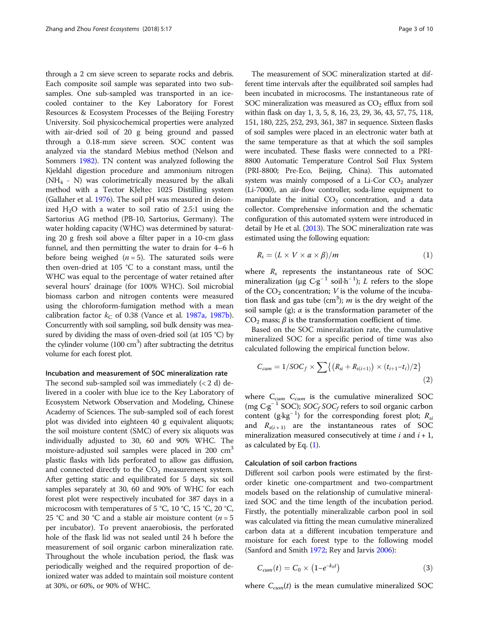<span id="page-2-0"></span>through a 2 cm sieve screen to separate rocks and debris. Each composite soil sample was separated into two subsamples. One sub-sampled was transported in an icecooled container to the Key Laboratory for Forest Resources & Ecosystem Processes of the Beijing Forestry University. Soil physicochemical properties were analyzed with air-dried soil of 20 g being ground and passed through a 0.18-mm sieve screen. SOC content was analyzed via the standard Mebius method (Nelson and Sommers [1982\)](#page-9-0). TN content was analyzed following the Kjeldahl digestion procedure and ammonium nitrogen  $(NH<sub>4</sub> - N)$  was colorimetrically measured by the alkali method with a Tector KJeltec 1025 Distilling system (Gallaher et al. [1976](#page-8-0)). The soil pH was measured in deionized  $H<sub>2</sub>O$  with a water to soil ratio of 2.5:1 using the Sartorius AG method (PB-10, Sartorius, Germany). The water holding capacity (WHC) was determined by saturating 20 g fresh soil above a filter paper in a 10-cm glass funnel, and then permitting the water to drain for 4–6 h before being weighed  $(n = 5)$ . The saturated soils were then oven-dried at 105 °C to a constant mass, until the WHC was equal to the percentage of water retained after several hours' drainage (for 100% WHC). Soil microbial biomass carbon and nitrogen contents were measured using the chloroform-fumigation method with a mean calibration factor  $k<sub>C</sub>$  of 0.38 (Vance et al. [1987a](#page-9-0), [1987b](#page-9-0)). Concurrently with soil sampling, soil bulk density was measured by dividing the mass of oven-dried soil (at 105 °C) by the cylinder volume  $(100 \text{ cm}^3)$  after subtracting the detritus volume for each forest plot.

## Incubation and measurement of SOC mineralization rate

The second sub-sampled soil was immediately  $(< 2 d)$  delivered in a cooler with blue ice to the Key Laboratory of Ecosystem Network Observation and Modeling, Chinese Academy of Sciences. The sub-sampled soil of each forest plot was divided into eighteen 40 g equivalent aliquots; the soil moisture content (SMC) of every six aliquots was individually adjusted to 30, 60 and 90% WHC. The moisture-adjusted soil samples were placed in 200 cm<sup>3</sup> plastic flasks with lids perforated to allow gas diffusion, and connected directly to the  $CO<sub>2</sub>$  measurement system. After getting static and equilibrated for 5 days, six soil samples separately at 30, 60 and 90% of WHC for each forest plot were respectively incubated for 387 days in a microcosm with temperatures of 5 °C, 10 °C, 15 °C, 20 °C, 25 °C and 30 °C and a stable air moisture content ( $n = 5$ ) per incubator). To prevent anaerobiosis, the perforated hole of the flask lid was not sealed until 24 h before the measurement of soil organic carbon mineralization rate. Throughout the whole incubation period, the flask was periodically weighed and the required proportion of deionized water was added to maintain soil moisture content at 30%, or 60%, or 90% of WHC.

The measurement of SOC mineralization started at different time intervals after the equilibrated soil samples had been incubated in microcosms. The instantaneous rate of SOC mineralization was measured as  $CO<sub>2</sub>$  efflux from soil within flask on day 1, 3, 5, 8, 16, 23, 29, 36, 43, 57, 75, 118, 151, 180, 225, 252, 293, 361, 387 in sequence. Sixteen flasks of soil samples were placed in an electronic water bath at the same temperature as that at which the soil samples were incubated. These flasks were connected to a PRI-8800 Automatic Temperature Control Soil Flux System (PRI-8800; Pre-Eco, Beijing, China). This automated system was mainly composed of a Li-Cor  $CO<sub>2</sub>$  analyzer (Li-7000), an air-flow controller, soda-lime equipment to manipulate the initial  $CO<sub>2</sub>$  concentration, and a data collector. Comprehensive information and the schematic configuration of this automated system were introduced in detail by He et al. ([2013\)](#page-8-0). The SOC mineralization rate was estimated using the following equation:

$$
R_s = (L \times V \times \alpha \times \beta)/m \tag{1}
$$

where  $R_s$  represents the instantaneous rate of SOC mineralization ( $\mu$ g C⋅g<sup>-1</sup> soil⋅h<sup>-1</sup>); *L* refers to the slope of the  $CO<sub>2</sub>$  concentration; *V* is the volume of the incubation flask and gas tube (cm<sup>3</sup>); *m* is the dry weight of the soil sample (g);  $\alpha$  is the transformation parameter of the CO<sub>2</sub> mass;  $\beta$  is the transformation coefficient of time.

Based on the SOC mineralization rate, the cumulative mineralized SOC for a specific period of time was also calculated following the empirical function below.

$$
C_{cum} = 1/SOC_f \times \sum \{ (R_{si} + R_{s(i+1)}) \times (t_{i+1} - t_i)/2 \}
$$
\n(2)

where  $C_{cum}$   $C_{cum}$  is the cumulative mineralized SOC (mg C⋅g<sup>-1</sup> SOC); SOC<sub>f</sub> SOC<sub>f</sub> refers to soil organic carbon content (g⋅kg<sup>-1</sup>) for the corresponding forest plot;  $R_{si}$ and  $R_{s(i+1)}$  are the instantaneous rates of SOC mineralization measured consecutively at time  $i$  and  $i + 1$ , as calculated by Eq. (1).

## Calculation of soil carbon fractions

Different soil carbon pools were estimated by the firstorder kinetic one-compartment and two-compartment models based on the relationship of cumulative mineralized SOC and the time length of the incubation period. Firstly, the potentially mineralizable carbon pool in soil was calculated via fitting the mean cumulative mineralized carbon data at a different incubation temperature and moisture for each forest type to the following model (Sanford and Smith [1972;](#page-9-0) Rey and Jarvis [2006\)](#page-9-0):

$$
C_{cum}(t) = C_0 \times \left(1 - e^{-k_0 t}\right) \tag{3}
$$

where  $C_{cum}(t)$  is the mean cumulative mineralized SOC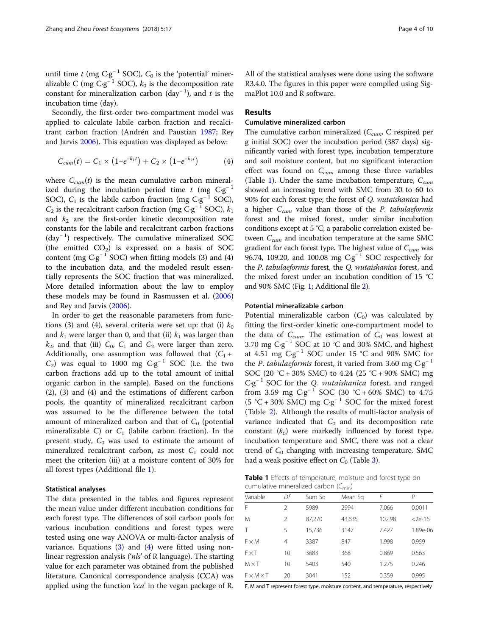until time t (mg C∙g<sup>−1</sup> SOC),  $C_0$  is the 'potential' mineralizable C (mg  $\text{C-g}^{-1}$  SOC),  $k_0$  is the decomposition rate constant for mineralization carbon  $(\text{day}^{-1})$ , and t is the incubation time (day).

Secondly, the first-order two-compartment model was applied to calculate labile carbon fraction and recalcitrant carbon fraction (Andrén and Paustian [1987;](#page-8-0) Rey and Jarvis [2006](#page-9-0)). This equation was displayed as below:

$$
C_{cum}(t) = C_1 \times (1 - e^{-k_1 t}) + C_2 \times (1 - e^{-k_2 t}) \tag{4}
$$

where  $C_{cum}(t)$  is the mean cumulative carbon mineralized during the incubation period time t (mg  $C·g^{-1}$ SOC),  $C_1$  is the labile carbon fraction (mg C⋅g<sup>-1</sup> SOC),  $C_2$  is the recalcitrant carbon fraction (mg C⋅g<sup>-1</sup> SOC),  $k_1$ and  $k_2$  are the first-order kinetic decomposition rate constants for the labile and recalcitrant carbon fractions (day<sup>−</sup> <sup>1</sup> ) respectively. The cumulative mineralized SOC (the emitted  $CO<sub>2</sub>$ ) is expressed on a basis of SOC content (mg  $C·g^{-1}$  SOC) when fitting models (3) and (4) to the incubation data, and the modeled result essentially represents the SOC fraction that was mineralized. More detailed information about the law to employ these models may be found in Rasmussen et al. ([2006](#page-9-0)) and Rey and Jarvis ([2006](#page-9-0)).

In order to get the reasonable parameters from functions (3) and (4), several criteria were set up: that (i)  $k_0$ and  $k_1$  were larger than 0, and that (ii)  $k_1$  was larger than  $k_2$ , and that (iii)  $C_0$ ,  $C_1$  and  $C_2$  were larger than zero. Additionally, one assumption was followed that  $(C_1 +$  $C_2$ ) was equal to 1000 mg C⋅g<sup>-1</sup> SOC (i.e. the two carbon fractions add up to the total amount of initial organic carbon in the sample). Based on the functions (2), (3) and (4) and the estimations of different carbon pools, the quantity of mineralized recalcitrant carbon was assumed to be the difference between the total amount of mineralized carbon and that of  $C_0$  (potential mineralizable C) or  $C_1$  (labile carbon fraction). In the present study,  $C_0$  was used to estimate the amount of mineralized recalcitrant carbon, as most  $C_1$  could not meet the criterion (iii) at a moisture content of 30% for all forest types (Additional file [1\)](#page-8-0).

#### Statistical analyses

The data presented in the tables and figures represent the mean value under different incubation conditions for each forest type. The differences of soil carbon pools for various incubation conditions and forest types were tested using one way ANOVA or multi-factor analysis of variance. Equations  $(3)$  $(3)$  and  $(4)$  were fitted using nonlinear regression analysis ('nls' of R language). The starting value for each parameter was obtained from the published literature. Canonical correspondence analysis (CCA) was applied using the function ' $cc\alpha$ ' in the vegan package of R.

All of the statistical analyses were done using the software R3.4.0. The figures in this paper were compiled using SigmaPlot 10.0 and R software.

## Results

#### Cumulative mineralized carbon

The cumulative carbon mineralized  $(C_{cum}$ , C respired per g initial SOC) over the incubation period (387 days) significantly varied with forest type, incubation temperature and soil moisture content, but no significant interaction effect was found on  $C_{cum}$  among these three variables (Table 1). Under the same incubation temperature,  $C_{cum}$ showed an increasing trend with SMC from 30 to 60 to 90% for each forest type; the forest of Q. wutaishanica had a higher  $C_{cum}$  value than those of the *P. tabulaeformis* forest and the mixed forest, under similar incubation conditions except at 5 °C; a parabolic correlation existed between  $C_{cum}$  and incubation temperature at the same SMC gradient for each forest type. The highest value of  $C_{cum}$  was 96.74, 109.20, and 100.08 mg C⋅g<sup>-1</sup> SOC respectively for the P. tabulaeformis forest, the Q. wutaishanica forest, and the mixed forest under an incubation condition of 15 °C and 90% SMC (Fig. [1](#page-4-0); Additional file [2](#page-8-0)).

## Potential mineralizable carbon

Potential mineralizable carbon  $(C_0)$  was calculated by fitting the first-order kinetic one-compartment model to the data of  $C_{cum}$ . The estimation of  $C_0$  was lowest at 3.70 mg C⋅g<sup>−1</sup> SOC at 10 °C and 30% SMC, and highest at 4.51 mg  $C·g^{-1}$  SOC under 15 °C and 90% SMC for the *P. tabulaeformis* forest, it varied from 3.60 mg  $C·g^{-1}$ SOC (20 °C + 30% SMC) to 4.24 (25 °C + 90% SMC) mg  $C·g<sup>-1</sup>$  SOC for the Q. *wutaishanica* forest, and ranged from 3.59 mg  $C·g^{-1}$  SOC (30 °C + 60% SMC) to 4.75 (5 °C + 30% SMC) mg C⋅g<sup>-1</sup> SOC for the mixed forest (Table [2\)](#page-4-0). Although the results of multi-factor analysis of variance indicated that  $C_0$  and its decomposition rate constant  $(k_0)$  were markedly influenced by forest type, incubation temperature and SMC, there was not a clear trend of  $C_0$  changing with increasing temperature. SMC had a weak positive effect on  $C_0$  (Table [3](#page-5-0)).

Table 1 Effects of temperature, moisture and forest type on cumulative mineralized carbon  $(C_{\text{min}})$ 

| Variable              | Df | Sum Sa | Mean Sq | F      | Р        |
|-----------------------|----|--------|---------|--------|----------|
| F                     | 2  | 5989   | 2994    | 7.066  | 0.0011   |
| M                     | 2  | 87,270 | 43,635  | 102.98 | $2e-16$  |
| Τ                     | 5  | 15,736 | 3147    | 7.427  | 1.89e-06 |
| FXM                   | 4  | 3387   | 847     | 1.998  | 0.959    |
| FXT                   | 10 | 3683   | 368     | 0.869  | 0.563    |
| $M \times T$          | 10 | 5403   | 540     | 1.275  | 0.246    |
| $F \times M \times T$ | 20 | 3041   | 152     | 0.359  | 0.995    |

F, M and T represent forest type, moisture content, and temperature, respectively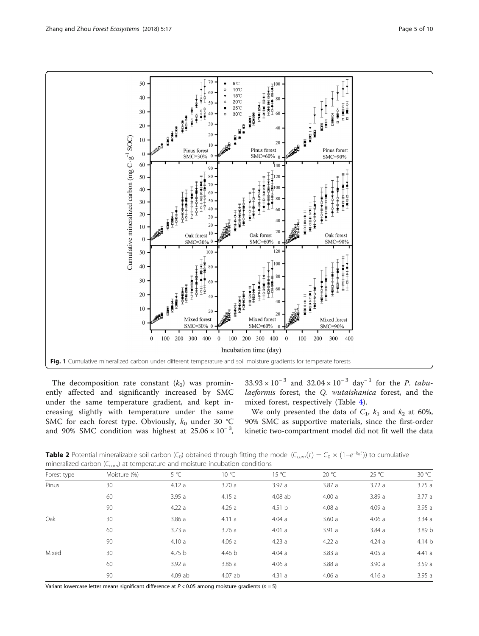<span id="page-4-0"></span>

The decomposition rate constant  $(k_0)$  was prominently affected and significantly increased by SMC under the same temperature gradient, and kept increasing slightly with temperature under the same SMC for each forest type. Obviously,  $k_0$  under 30 °C and 90% SMC condition was highest at  $25.06 \times 10^{-3}$ ,

 $33.93 \times 10^{-3}$  and  $32.04 \times 10^{-3}$  day<sup>-1</sup> for the *P. tabu*laeformis forest, the Q. wutaishanica forest, and the mixed forest, respectively (Table [4](#page-5-0)).

We only presented the data of  $C_1$ ,  $k_1$  and  $k_2$  at 60%, 90% SMC as supportive materials, since the first-order kinetic two-compartment model did not fit well the data

**Table 2** Potential mineralizable soil carbon (C<sub>0</sub>) obtained through fitting the model (C<sub>cum</sub>(t) = C<sub>0</sub> × (1−e<sup>-k<sub>0</sub>t)) to cumulative</sup> mineralized carbon  $(C_{cum})$  at temperature and moisture incubation conditions

| Forest type     | Moisture (%) | $5^{\circ}$ C | 10 °C     | 15 °C     | 20 °C | 25 °C | 30 $^{\circ}$ C |
|-----------------|--------------|---------------|-----------|-----------|-------|-------|-----------------|
| Pinus           | 30           | 4.12a         | 3.70a     | 3.97a     | 3.87a | 3.72a | 3.75a           |
|                 | 60           | 3.95a         | 4.15a     | $4.08$ ab | 4.00a | 3.89a | 3.77a           |
|                 | 90           | 4.22a         | 4.26a     | 4.51 b    | 4.08a | 4.09a | 3.95a           |
| Oak<br>30<br>60 |              | 3.86a         | 4.11a     | 4.04a     | 3.60a | 4.06a | 3.34a           |
|                 |              | 3.73a         | 3.76a     | 4.01a     | 3.91a | 3.84a | 3.89 b          |
|                 | 90           | 4.10a         | 4.06a     | 4.23a     | 4.22a | 4.24a | 4.14 b          |
| Mixed           | 30           | 4.75 b        | 4.46 b    | 4.04a     | 3.83a | 4.05a | 4.41a           |
|                 | 60           | 3.92a         | 3.86a     | 4.06a     | 3.88a | 3.90a | 3.59a           |
|                 | 90           | 4.09 ab       | $4.07$ ab | 4.31a     | 4.06a | 4.16a | 3.95a           |
|                 |              |               |           |           |       |       |                 |

Variant lowercase letter means significant difference at  $P < 0.05$  among moisture gradients (n = 5)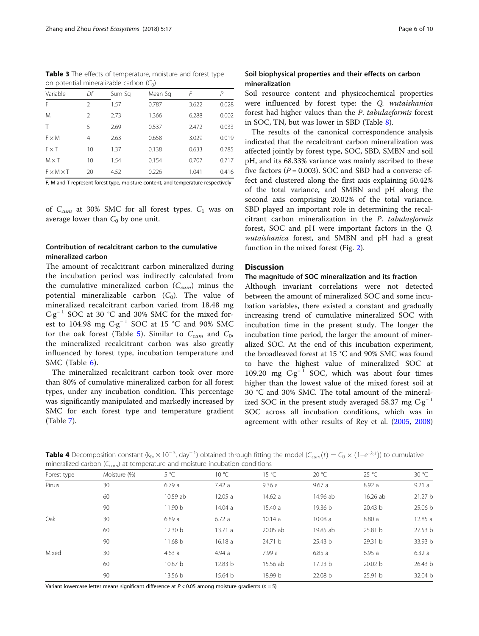<span id="page-5-0"></span>Table 3 The effects of temperature, moisture and forest type on potential mineralizable carbon  $(C_0)$ 

| Variable     | Df            | Sum Sa | Mean Sq | F     | P     |
|--------------|---------------|--------|---------|-------|-------|
| F            | $\mathcal{P}$ | 1.57   | 0.787   | 3.622 | 0.028 |
| M            | $\mathcal{D}$ | 2.73   | 1.366   | 6.288 | 0.002 |
|              | 5             | 2.69   | 0.537   | 2.472 | 0.033 |
| FXM          | 4             | 2.63   | 0.658   | 3.029 | 0.019 |
| FxT          | 10            | 1.37   | 0.138   | 0.633 | 0.785 |
| $M \times T$ | 10            | 1.54   | 0.154   | 0.707 | 0.717 |
| FXMXT        | 20            | 4.52   | 0.226   | 1.041 | 0.416 |

F, M and T represent forest type, moisture content, and temperature respectively

of  $C_{cum}$  at 30% SMC for all forest types.  $C_1$  was on average lower than  $C_0$  by one unit.

# Contribution of recalcitrant carbon to the cumulative mineralized carbon

The amount of recalcitrant carbon mineralized during the incubation period was indirectly calculated from the cumulative mineralized carbon  $(C_{cum})$  minus the potential mineralizable carbon  $(C_0)$ . The value of mineralized recalcitrant carbon varied from 18.48 mg  $C·g^{-1}$  SOC at 30 °C and 30% SMC for the mixed forest to 104.98 mg C⋅g<sup>-1</sup> SOC at 15 °C and 90% SMC for the oak forest (Table [5](#page-6-0)). Similar to  $C_{cum}$  and  $C_0$ , the mineralized recalcitrant carbon was also greatly influenced by forest type, incubation temperature and SMC (Table [6\)](#page-6-0).

The mineralized recalcitrant carbon took over more than 80% of cumulative mineralized carbon for all forest types, under any incubation condition. This percentage was significantly manipulated and markedly increased by SMC for each forest type and temperature gradient (Table [7\)](#page-7-0).

# Soil biophysical properties and their effects on carbon mineralization

Soil resource content and physicochemical properties were influenced by forest type: the Q. wutaishanica forest had higher values than the P. tabulaeformis forest in SOC, TN, but was lower in SBD (Table [8](#page-7-0)).

The results of the canonical correspondence analysis indicated that the recalcitrant carbon mineralization was affected jointly by forest type, SOC, SBD, SMBN and soil pH, and its 68.33% variance was mainly ascribed to these five factors ( $P = 0.003$ ). SOC and SBD had a converse effect and clustered along the first axis explaining 50.42% of the total variance, and SMBN and pH along the second axis comprising 20.02% of the total variance. SBD played an important role in determining the recalcitrant carbon mineralization in the P. tabulaeformis forest, SOC and pH were important factors in the Q. wutaishanica forest, and SMBN and pH had a great function in the mixed forest (Fig. [2](#page-8-0)).

## **Discussion**

#### The magnitude of SOC mineralization and its fraction

Although invariant correlations were not detected between the amount of mineralized SOC and some incubation variables, there existed a constant and gradually increasing trend of cumulative mineralized SOC with incubation time in the present study. The longer the incubation time period, the larger the amount of mineralized SOC. At the end of this incubation experiment, the broadleaved forest at 15 °C and 90% SMC was found to have the highest value of mineralized SOC at 109.20 mg  $C·g^{-1}$  SOC, which was about four times higher than the lowest value of the mixed forest soil at 30 °C and 30% SMC. The total amount of the mineralized SOC in the present study averaged 58.37 mg  $C·g^{-1}$ SOC across all incubation conditions, which was in agreement with other results of Rey et al. ([2005](#page-9-0), [2008](#page-9-0))

**Table 4** Decomposition constant ( $k_0$ ,  $\times$  10<sup>-3</sup>, day<sup>-1</sup>) obtained through fitting the model ( $C_{cum}(t) = C_0 \times (1-e^{-k_0t})$ ) to cumulative mineralized carbon ( $C_{cum}$ ) at temperature and moisture incubation conditions

| Forest type     | Moisture (%) | 5 °C               | 10 °C   | 15 °C    | 20 °C    | 25 °C    | 30 °C   |
|-----------------|--------------|--------------------|---------|----------|----------|----------|---------|
| Pinus           | 30           | 6.79a              | 7.42a   | 9.36a    | 9.67a    | 8.92a    | 9.21a   |
|                 | 60           | 10.59 ab           | 12.05a  | 14.62a   | 14.96 ab | 16.26 ab | 21.27 b |
|                 | 90           | 11.90 b            | 14.04 a | 15.40 a  | 19.36 b  | 20.43 b  | 25.06 b |
| Oak<br>30<br>60 |              | 6.89a              | 6.72a   | 10.14a   | 10.08a   | 8.80a    | 12.85 a |
|                 |              | 12.30 b            | 13.71a  | 20.05 ab | 19.85 ab | 25.81 b  | 27.53 b |
|                 | 90           | 11.68 b            | 16.18a  | 24.71 b  | 25.43 b  | 29.31 b  | 33.93 b |
| Mixed           | 30           | 4.63a              | 4.94a   | 7.99 a   | 6.85a    | 6.95a    | 6.32a   |
|                 | 60           | 10.87 <sub>b</sub> | 12.83 b | 15.56 ab | 17.23 b  | 20.02 b  | 26.43 b |
|                 | 90           | 13.56 b            | 15.64 b | 18.99 b  | 22.08 b  | 25.91 b  | 32.04 b |

Variant lowercase letter means significant difference at  $P < 0.05$  among moisture gradients (n = 5)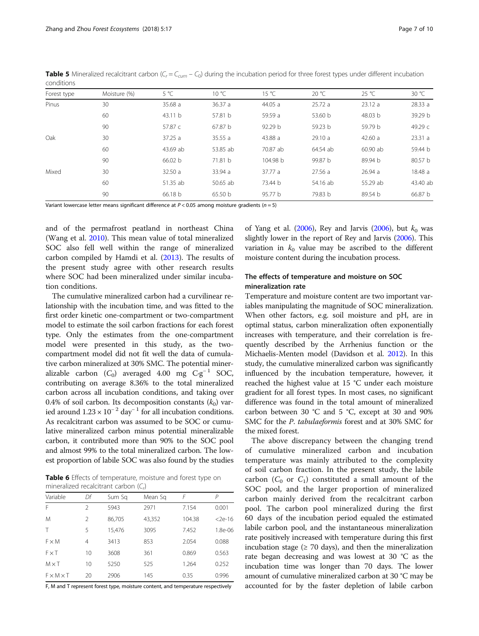| Forest type | Moisture (%) | $5^{\circ}$ C | 10 °C    | 15 °C    | 20 °C    | $25^{\circ}$ C | 30 °C    |
|-------------|--------------|---------------|----------|----------|----------|----------------|----------|
| Pinus       | 30           | 35.68 a       | 36.37 a  | 44.05 a  | 25.72a   | 23.12a         | 28.33 a  |
|             | 60           | 43.11 b       | 57.81 b  | 59.59 a  | 53.60 b  | 48.03 b        | 39.29 b  |
|             | 90           | 57.87 c       | 67.87 b  | 92.29 b  | 59.23 b  | 59.79 b        | 49.29 с  |
| Oak         | 30           | 37.25a        | 35.55a   | 43.88 a  | 29.10a   | 42.60a         | 23.31a   |
| 60          |              | 43.69 ab      | 53.85 ab | 70.87 ab | 64.54 ab | 60.90 ab       | 59.44 b  |
|             | 90           | 66.02 b       | 71.81 b  | 104.98 b | 99.87 b  | 89.94 b        | 80.57 b  |
| Mixed       | 30           | 32.50a        | 33.94 a  | 37.77 a  | 27.56a   | 26.94a         | 18.48 a  |
|             | 60           | 51.35 ab      | 50.65 ab | 73.44 b  | 54.16 ab | 55.29 ab       | 43.40 ab |
|             | 90           | 66.18 b       | 65.50 b  | 95.77 b  | 79.83 b  | 89.54 b        | 66.87 b  |

<span id="page-6-0"></span>**Table 5** Mineralized recalcitrant carbon ( $C_r = C_{cum} - C_0$ ) during the incubation period for three forest types under different incubation conditions

Variant lowercase letter means significant difference at  $P < 0.05$  among moisture gradients ( $n = 5$ )

and of the permafrost peatland in northeast China (Wang et al. [2010](#page-9-0)). This mean value of total mineralized SOC also fell well within the range of mineralized carbon compiled by Hamdi et al. ([2013\)](#page-8-0). The results of the present study agree with other research results where SOC had been mineralized under similar incubation conditions.

The cumulative mineralized carbon had a curvilinear relationship with the incubation time, and was fitted to the first order kinetic one-compartment or two-compartment model to estimate the soil carbon fractions for each forest type. Only the estimates from the one-compartment model were presented in this study, as the twocompartment model did not fit well the data of cumulative carbon mineralized at 30% SMC. The potential mineralizable carbon  $(C_0)$  averaged 4.00 mg  $C_2g^{-1}$  SOC, contributing on average 8.36% to the total mineralized carbon across all incubation conditions, and taking over 0.4% of soil carbon. Its decomposition constants  $(k_0)$  varied around  $1.23\times 10^{-2}$  day $^{-1}$  for all incubation conditions. As recalcitrant carbon was assumed to be SOC or cumulative mineralized carbon minus potential mineralizable carbon, it contributed more than 90% to the SOC pool and almost 99% to the total mineralized carbon. The lowest proportion of labile SOC was also found by the studies

Table 6 Effects of temperature, moisture and forest type on mineralized recalcitrant carbon (C)

| THITICIALIZED TECAICIDATIC CATDOTT (C/) |                |        |         |        |           |  |  |  |
|-----------------------------------------|----------------|--------|---------|--------|-----------|--|--|--|
| Variable                                | Df             | Sum Sa | Mean Sq | F      | Р         |  |  |  |
| F                                       | $\mathfrak{D}$ | 5943   | 2971    | 7.154  | 0.001     |  |  |  |
| M                                       | $\mathcal{P}$  | 86,705 | 43,352  | 104.38 | $<$ 2e-16 |  |  |  |
| Т                                       | 5              | 15,476 | 3095    | 7.452  | 1.8e-06   |  |  |  |
| FXM                                     | 4              | 3413   | 853     | 2.054  | 0.088     |  |  |  |
| FXT                                     | 10             | 3608   | 361     | 0.869  | 0.563     |  |  |  |
| $M \times T$                            | 10             | 5250   | 525     | 1.264  | 0.252     |  |  |  |
| $F \times M \times T$                   | 20             | 2906   | 145     | 0.35   | 0.996     |  |  |  |
|                                         |                |        |         |        |           |  |  |  |

F, M and T represent forest type, moisture content, and temperature respectively

of Yang et al. ([2006](#page-9-0)), Rey and Jarvis (2006), but  $k_0$  was slightly lower in the report of Rey and Jarvis ([2006](#page-9-0)). This variation in  $k_0$  value may be ascribed to the different moisture content during the incubation process.

# The effects of temperature and moisture on SOC mineralization rate

Temperature and moisture content are two important variables manipulating the magnitude of SOC mineralization. When other factors, e.g. soil moisture and pH, are in optimal status, carbon mineralization often exponentially increases with temperature, and their correlation is frequently described by the Arrhenius function or the Michaelis-Menten model (Davidson et al. [2012](#page-8-0)). In this study, the cumulative mineralized carbon was significantly influenced by the incubation temperature, however, it reached the highest value at 15 °C under each moisture gradient for all forest types. In most cases, no significant difference was found in the total amount of mineralized carbon between 30 °C and 5 °C, except at 30 and 90% SMC for the P. tabulaeformis forest and at 30% SMC for the mixed forest.

The above discrepancy between the changing trend of cumulative mineralized carbon and incubation temperature was mainly attributed to the complexity of soil carbon fraction. In the present study, the labile carbon ( $C_0$  or  $C_1$ ) constituted a small amount of the SOC pool, and the larger proportion of mineralized carbon mainly derived from the recalcitrant carbon pool. The carbon pool mineralized during the first 60 days of the incubation period equaled the estimated labile carbon pool, and the instantaneous mineralization rate positively increased with temperature during this first incubation stage ( $\geq 70$  days), and then the mineralization rate began decreasing and was lowest at 30 °C as the incubation time was longer than 70 days. The lower amount of cumulative mineralized carbon at 30 °C may be accounted for by the faster depletion of labile carbon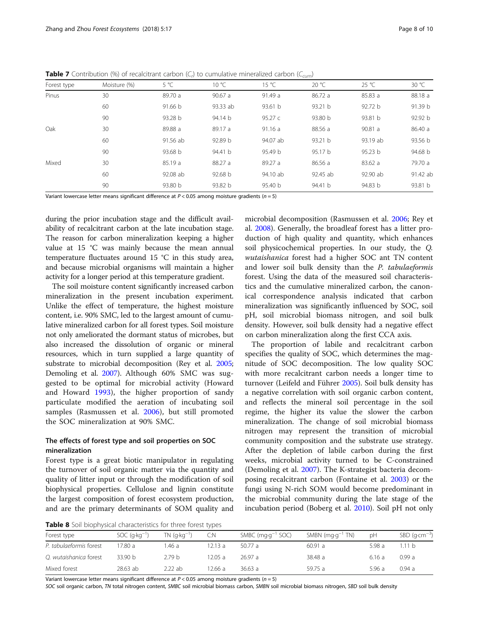| Forest type     | Moisture (%) | $5^{\circ}$ C | 10 °C    | 15 °C     | 20 °C    | 25 °C    | 30 °C    |
|-----------------|--------------|---------------|----------|-----------|----------|----------|----------|
| Pinus           | 30           | 89.70 a       | 90.67a   | 91.49 a   | 86.72 a  | 85.83 a  | 88.18 a  |
|                 | 60           | 91.66 b       | 93.33 ab | 93.61 b   | 93.21 b  | 92.72 b  | 91.39 b  |
|                 | 90           | 93.28 b       | 94.14 b  | 95.27 $c$ | 93.80 b  | 93.81 b  | 92.92 b  |
| Oak<br>30<br>60 |              | 89.88 a       | 89.17 a  | 91.16a    | 88.56 a  | 90.81a   | 86.40 a  |
|                 |              | 91.56 ab      | 92.89 b  | 94.07 ab  | 93.21 b  | 93.19 ab | 93.56 b  |
|                 | 90           | 93.68 b       | 94.41 b  | 95.49 b   | 95.17 b  | 95.23 b  | 94.68 b  |
| Mixed           | 30           | 85.19 a       | 88.27 a  | 89.27 a   | 86.56 a  | 83.62a   | 79.70 a  |
|                 | 60           | 92.08 ab      | 92.68 b  | 94.10 ab  | 92.45 ab | 92.90 ab | 91.42 ab |
|                 | 90           | 93.80 b       | 93.82 b  | 95.40 b   | 94.41 b  | 94.83 b  | 93.81 b  |

<span id="page-7-0"></span>**Table 7** Contribution (%) of recalcitrant carbon (C<sub>c</sub>) to cumulative mineralized carbon (C<sub>cum</sub>)

Variant lowercase letter means significant difference at  $P < 0.05$  among moisture gradients (n = 5)

during the prior incubation stage and the difficult availability of recalcitrant carbon at the late incubation stage. The reason for carbon mineralization keeping a higher value at 15 °C was mainly because the mean annual temperature fluctuates around 15 °C in this study area, and because microbial organisms will maintain a higher activity for a longer period at this temperature gradient.

The soil moisture content significantly increased carbon mineralization in the present incubation experiment. Unlike the effect of temperature, the highest moisture content, i.e. 90% SMC, led to the largest amount of cumulative mineralized carbon for all forest types. Soil moisture not only ameliorated the dormant status of microbes, but also increased the dissolution of organic or mineral resources, which in turn supplied a large quantity of substrate to microbial decomposition (Rey et al. [2005](#page-9-0); Demoling et al. [2007\)](#page-8-0). Although 60% SMC was suggested to be optimal for microbial activity (Howard and Howard [1993\)](#page-8-0), the higher proportion of sandy particulate modified the aeration of incubating soil samples (Rasmussen et al. [2006](#page-9-0)), but still promoted the SOC mineralization at 90% SMC.

# The effects of forest type and soil properties on SOC mineralization

Forest type is a great biotic manipulator in regulating the turnover of soil organic matter via the quantity and quality of litter input or through the modification of soil biophysical properties. Cellulose and lignin constitute the largest composition of forest ecosystem production, and are the primary determinants of SOM quality and

microbial decomposition (Rasmussen et al. [2006;](#page-9-0) Rey et al. [2008\)](#page-9-0). Generally, the broadleaf forest has a litter production of high quality and quantity, which enhances soil physicochemical properties. In our study, the Q. wutaishanica forest had a higher SOC ant TN content and lower soil bulk density than the P. tabulaeformis forest. Using the data of the measured soil characteristics and the cumulative mineralized carbon, the canonical correspondence analysis indicated that carbon mineralization was significantly influenced by SOC, soil pH, soil microbial biomass nitrogen, and soil bulk density. However, soil bulk density had a negative effect on carbon mineralization along the first CCA axis.

The proportion of labile and recalcitrant carbon specifies the quality of SOC, which determines the magnitude of SOC decomposition. The low quality SOC with more recalcitrant carbon needs a longer time to turnover (Leifeld and Führer [2005](#page-9-0)). Soil bulk density has a negative correlation with soil organic carbon content, and reflects the mineral soil percentage in the soil regime, the higher its value the slower the carbon mineralization. The change of soil microbial biomass nitrogen may represent the transition of microbial community composition and the substrate use strategy. After the depletion of labile carbon during the first weeks, microbial activity turned to be C-constrained (Demoling et al. [2007](#page-8-0)). The K-strategist bacteria decomposing recalcitrant carbon (Fontaine et al. [2003\)](#page-8-0) or the fungi using N-rich SOM would become predominant in the microbial community during the late stage of the incubation period (Boberg et al. [2010](#page-8-0)). Soil pH not only

Table 8 Soil biophysical characteristics for three forest types

| Forest type             | $SOC$ (q $kg^{-1}$ ) | $TN$ (q $kq^{-1}$ ) | C:N     | SMBC (mg·g <sup>-1</sup> SOC) | SMBN ( $mqq^{-1}$ TN) | pH     | SBD $(\text{q}\cdot\text{cm}^{-3})$ |
|-------------------------|----------------------|---------------------|---------|-------------------------------|-----------------------|--------|-------------------------------------|
| P. tabulaeformis forest | 17.80 a              | .46 a               | 12.13 a | 50.77 a                       | 60.91 a               | 5.98 a | 1.11 b                              |
| O. wutaishanica forest  | 33.90 h              | 2.79 b              | 12.05 a | 26.97a                        | 38.48 a               | 6.16a  | 0.99a                               |
| Mixed forest            | 28.63 ab             | 2.22ab              | 2.66a   | 36.63a                        | 59.75 a               | 5.96 a | 0.94a                               |

Variant lowercase letter means significant difference at  $P < 0.05$  among moisture gradients ( $n = 5$ )

SOC soil organic carbon, TN total nitrogen content, SMBC soil microbial biomass carbon, SMBN soil microbial biomass nitrogen, SBD soil bulk density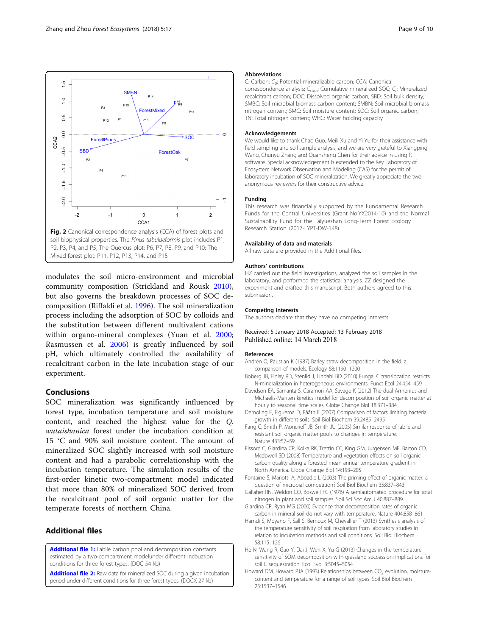<span id="page-8-0"></span>

modulates the soil micro-environment and microbial community composition (Strickland and Rousk [2010](#page-9-0)), but also governs the breakdown processes of SOC decomposition (Riffaldi et al. [1996](#page-9-0)). The soil mineralization process including the adsorption of SOC by colloids and the substitution between different multivalent cations within organo-mineral complexes (Yuan et al. [2000](#page-9-0); Rasmussen et al. [2006\)](#page-9-0) is greatly influenced by soil pH, which ultimately controlled the availability of recalcitrant carbon in the late incubation stage of our experiment.

## Conclusions

SOC mineralization was significantly influenced by forest type, incubation temperature and soil moisture content, and reached the highest value for the Q. wutaishanica forest under the incubation condition at 15 °C and 90% soil moisture content. The amount of mineralized SOC slightly increased with soil moisture content and had a parabolic correlationship with the incubation temperature. The simulation results of the first-order kinetic two-compartment model indicated that more than 80% of mineralized SOC derived from the recalcitrant pool of soil organic matter for the temperate forests of northern China.

# Additional files

[Additional file 1:](https://doi.org/10.1186/s40663-018-0137-z) Labile carbon pool and decomposition constants estimated by a two-compartment modelunder different incbuation conditions for three forest types. (DOC 54 kb)

[Additional file 2:](https://doi.org/10.1186/s40663-018-0137-z) Raw data for mineralized SOC during a given incubation period under different conditions for three forest types. (DOCX 27 kb)

#### Abbreviations

C: Carbon; Co: Potential mineralizable carbon; CCA: Canonical correspondence analysis; C<sub>cum</sub>: Cumulative mineralized SOC; C<sub>i</sub>: Mineralized recalcitrant carbon; DOC: Dissolved organic carbon; SBD: Soil bulk density; SMBC: Soil microbial biomass carbon content; SMBN: Soil microbial biomass nitrogen content; SMC: Soil moisture content; SOC: Soil organic carbon; TN: Total nitrogen content; WHC: Water holding capacity

#### Acknowledgements

We would like to thank Chao Guo, Meili Xu and Yi Yu for their assistance with field sampling and soil sample analysis, and we are very grateful to Xiangping Wang, Chunyu Zhang and Quansheng Chen for their advice in using R software. Special acknowledgement is extended to the Key Laboratory of Ecosystem Network Observation and Modeling (CAS) for the permit of laboratory incubation of SOC mineralization. We greatly appreciate the two anonymous reviewers for their constructive advice.

#### Funding

This research was financially supported by the Fundamental Research Funds for the Central Universities (Grant No.YX2014-10) and the Normal Sustainability Fund for the Taiyueshan Long-Term Forest Ecology Research Station (2017-LYPT-DW-148).

#### Availability of data and materials

All raw data are provided in the Additional files.

#### Authors' contributions

HZ carried out the field investigations, analyzed the soil samples in the laboratory, and performed the statistical analysis. ZZ designed the experiment and drafted this manuscript. Both authors agreed to this submission.

#### Competing interests

The authors declare that they have no competing interests.

#### Received: 5 January 2018 Accepted: 13 February 2018 Published online: 14 March 2018

#### References

- Andrén O, Paustian K (1987) Barley straw decomposition in the field: a comparison of models. Ecology 68:1190–1200
- Boberg JB, Finlay RD, Stenlid J, Lindahl BD (2010) Fungal C translocation restricts N-mineralization in heterogeneous environments. Funct Ecol 24:454–459
- Davidson EA, Samanta S, Caramori AA, Savage K (2012) The dual Arrhenius and Michaelis-Menten kinetics model for decomposition of soil organic matter at hourly to seasonal time scales. Globe Change Biol 18:371–384
- Demoling F, Figueroa D, Bååth E (2007) Comparison of factors limiting bacterial growth in different soils. Soil Biol Biochem 39:2485–2495
- Fang C, Smith P, Moncrieff JB, Smith JU (2005) Similar response of labile and resistant soil organic matter pools to changes in temperature. Nature 433:57–59
- Fissore C, Giardina CP, Kolka RK, Trettin CC, King GM, Jurgensen MF, Barton CD, Mcdowell SD (2008) Temperature and vegetation effects on soil organic carbon quality along a forested mean annual temperature gradient in North America. Globe Change Biol 14:193–205
- Fontaine S, Mariotti A, Abbadie L (2003) The priming effect of organic matter: a question of microbial competition? Soil Biol Biochem 35:837–843
- Gallaher RN, Weldon CO, Boswell FC (1976) A semiautomated procedure for total nitrogen in plant and soil samples. Soil Sci Soc Am J 40:887–889
- Giardina CP, Ryan MG (2000) Evidence that decomposition rates of organic carbon in mineral soil do not vary with temperature. Nature 404:858–861
- Hamdi S, Moyano F, Sall S, Bernoux M, Chevallier T (2013) Synthesis analysis of the temperature sensitivity of soil respiration from laboratory studies in relation to incubation methods and soil conditions. Soil Biol Biochem 58:115–126
- He N, Wang R, Gao Y, Dai J, Wen X, Yu G (2013) Changes in the temperature sensitivity of SOM decomposition with grassland succession: implications for soil C sequestration. Ecol Evol 3:5045–5054
- Howard DM, Howard PJA (1993) Relationships between CO<sub>2</sub> evolution, moisturecontent and temperature for a range of soil types. Soil Biol Biochem 25:1537–1546